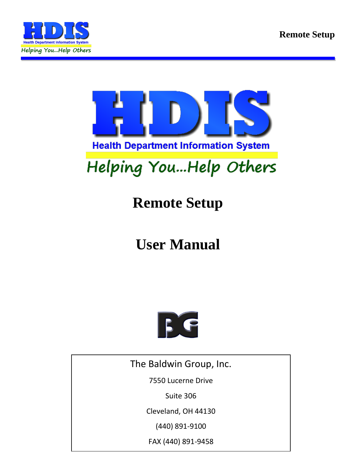



# Helping You...Help Others

## **Remote Setup**

## **User Manual**



The Baldwin Group, Inc.

7550 Lucerne Drive

Suite 306

Cleveland, OH 44130

(440) 891-9100

FAX (440) 891-9458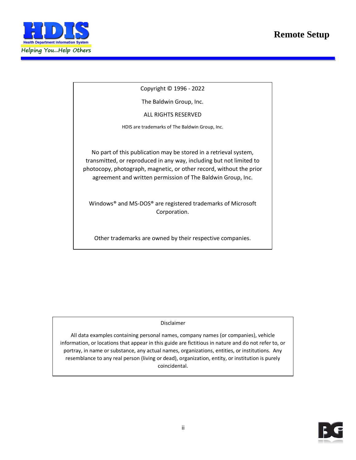#### **Remote Setup**



Copyright © 1996 - 2022

The Baldwin Group, Inc.

ALL RIGHTS RESERVED

HDIS are trademarks of The Baldwin Group, Inc.

No part of this publication may be stored in a retrieval system, transmitted, or reproduced in any way, including but not limited to photocopy, photograph, magnetic, or other record, without the prior agreement and written permission of The Baldwin Group, Inc.

Windows® and MS-DOS® are registered trademarks of Microsoft Corporation.

Other trademarks are owned by their respective companies.

**THE FURNISH** POST OF THE FURNISHING, PERFORMANCE, OR USE OF THE PURISHING, OR USE OF THE PURISHING OF THE PURISHING OF THE PURISHING OF THE PURISHING OF THE PURISHING OF THE PURISHING OF THE PURISHING OF THE PURISHING OF THE MATERIAL SERVICE.

All data examples containing personal names, company names (or companies), vehicle information, or locations that appear in this guide are fictitious in nature and do not refer to, or portray, in name or substance, any actual names, organizations, entities, or institutions. Any resemblance to any real person (living or dead), organization, entity, or institution is purely coincidental.

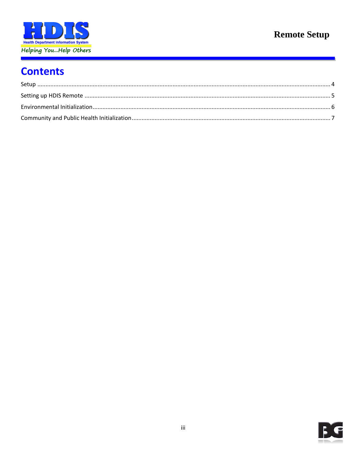

## **Remote Setup**

### **Contents**

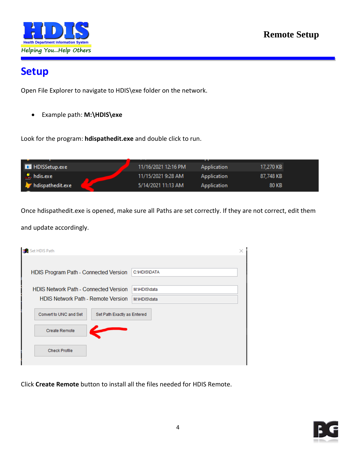

#### <span id="page-3-0"></span>**Setup**

Open File Explorer to navigate to HDIS\exe folder on the network.

• Example path: **M:\HDIS\exe**

Look for the program: **hdispathedit.exe** and double click to run.

|                          |                     | . .         |           |
|--------------------------|---------------------|-------------|-----------|
| <b>HDISSetup.exe</b>     | 11/16/2021 12:16 PM | Application | 17,270 KB |
| $\frac{1}{2}$ , hdis.exe | 11/15/2021 9:28 AM  | Application | 87,748 KB |
| hdispathedit.exe         | 5/14/2021 11:13 AM  | Application | 80 KB     |

Once hdispathedit.exe is opened, make sure all Paths are set correctly. If they are not correct, edit them

and update accordingly.

| le N<br>Set HDIS Path                                                                     |                              |
|-------------------------------------------------------------------------------------------|------------------------------|
| HDIS Program Path - Connected Version                                                     | <b>C:\HDIS\DATA</b>          |
| <b>HDIS Network Path - Connected Version</b><br><b>HDIS Network Path - Remote Version</b> | M:\HDIS\data<br>M:\HDIS\data |
| Convert to UNC and Set<br>Set Path Exactly as Entered                                     |                              |
| <b>Create Remote</b>                                                                      |                              |
| <b>Check Profile</b>                                                                      |                              |

Click **Create Remote** button to install all the files needed for HDIS Remote.

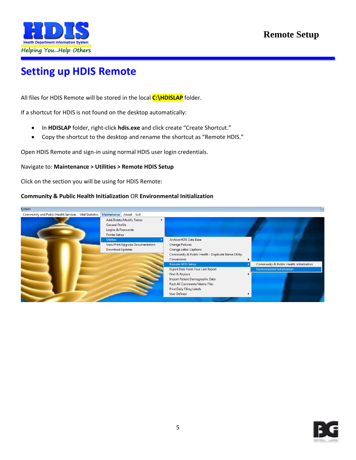

## <span id="page-4-0"></span>**Setting up HDIS Remote**

All files for HDIS Remote will be stored in the local **C:\HDISLAP** folder.

If a shortcut for HDIS is not found on the desktop automatically:

- In **HDISLAP** folder, right-click **hdis.exe** and click create "Create Shortcut."
- Copy the shortcut to the desktop and rename the shortcut as "Remote HDIS."

Open HDIS Remote and sign-in using normal HDIS user login credentials.

#### Navigate to: **Maintenance > Utilities > Remote HDIS Setup**

Click on the section you will be using for HDIS Remote:

#### **Community & Public Health Initialization** OR **Environmental Initialization**



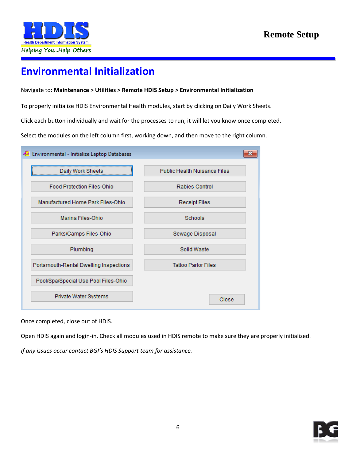

#### <span id="page-5-0"></span>**Environmental Initialization**

#### Navigate to: **Maintenance > Utilities > Remote HDIS Setup > Environmental Initialization**

To properly initialize HDIS Environmental Health modules, start by clicking on Daily Work Sheets.

Click each button individually and wait for the processes to run, it will let you know once completed.

Select the modules on the left column first, working down, and then move to the right column.

| Environmental - Initialize Laptop Databases |                                     |
|---------------------------------------------|-------------------------------------|
| Daily Work Sheets                           | <b>Public Health Nuisance Files</b> |
| <b>Food Protection Files-Ohio</b>           | <b>Rabies Control</b>               |
| Manufactured Home Park Files-Ohio           | <b>Receipt Files</b>                |
| Marina Files-Ohio                           | Schools                             |
| Parks/Camps Files-Ohio                      | Sewage Disposal                     |
| Plumbing                                    | Solid Waste                         |
| Portsmouth-Rental Dwelling Inspections      | <b>Tattoo Parlor Files</b>          |
| Pool/Spa/Special Use Pool Files-Ohio        |                                     |
| Private Water Systems                       | Close                               |

Once completed, close out of HDIS.

Open HDIS again and login-in. Check all modules used in HDIS remote to make sure they are properly initialized.

*If any issues occur contact BGI's HDIS Support team for assistance.*